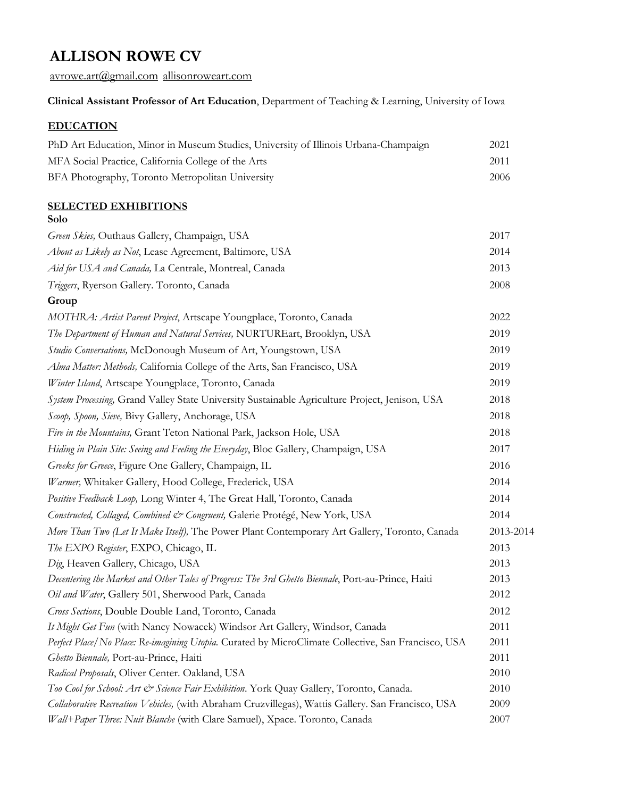avrowe.art@gmail.com allisonroweart.com

# **Clinical Assistant Professor of Art Education**, Department of Teaching & Learning, University of Iowa

# **EDUCATION**

| PhD Art Education, Minor in Museum Studies, University of Illinois Urbana-Champaign | 2021 |
|-------------------------------------------------------------------------------------|------|
| MFA Social Practice, California College of the Arts                                 | 2011 |
| BFA Photography, Toronto Metropolitan University                                    | 2006 |

## **SELECTED EXHIBITIONS Solo**

| Green Skies, Outhaus Gallery, Champaign, USA                                                        | 2017      |
|-----------------------------------------------------------------------------------------------------|-----------|
| About as Likely as Not, Lease Agreement, Baltimore, USA                                             | 2014      |
| Aid for USA and Canada, La Centrale, Montreal, Canada                                               | 2013      |
| Triggers, Ryerson Gallery. Toronto, Canada                                                          | 2008      |
| Group                                                                                               |           |
| MOTHRA: Artist Parent Project, Artscape Youngplace, Toronto, Canada                                 | 2022      |
| The Department of Human and Natural Services, NURTUREart, Brooklyn, USA                             | 2019      |
| Studio Conversations, McDonough Museum of Art, Youngstown, USA                                      | 2019      |
| Alma Matter: Methods, California College of the Arts, San Francisco, USA                            | 2019      |
| Winter Island, Artscape Youngplace, Toronto, Canada                                                 | 2019      |
| System Processing, Grand Valley State University Sustainable Agriculture Project, Jenison, USA      | 2018      |
| Scoop, Spoon, Sieve, Bivy Gallery, Anchorage, USA                                                   | 2018      |
| Fire in the Mountains, Grant Teton National Park, Jackson Hole, USA                                 | 2018      |
| Hiding in Plain Site: Seeing and Feeling the Everyday, Bloc Gallery, Champaign, USA                 | 2017      |
| Greeks for Greece, Figure One Gallery, Champaign, IL                                                | 2016      |
| Warmer, Whitaker Gallery, Hood College, Frederick, USA                                              | 2014      |
| Positive Feedback Loop, Long Winter 4, The Great Hall, Toronto, Canada                              | 2014      |
| Constructed, Collaged, Combined & Congruent, Galerie Protégé, New York, USA                         | 2014      |
| More Than Two (Let It Make Itself), The Power Plant Contemporary Art Gallery, Toronto, Canada       | 2013-2014 |
| The EXPO Register, EXPO, Chicago, IL                                                                | 2013      |
| Dig, Heaven Gallery, Chicago, USA                                                                   | 2013      |
| Decentering the Market and Other Tales of Progress: The 3rd Ghetto Biennale, Port-au-Prince, Haiti  | 2013      |
| Oil and Water, Gallery 501, Sherwood Park, Canada                                                   | 2012      |
| Cross Sections, Double Double Land, Toronto, Canada                                                 | 2012      |
| It Might Get Fun (with Nancy Nowacek) Windsor Art Gallery, Windsor, Canada                          | 2011      |
| Perfect Place/No Place: Re-imagining Utopia. Curated by MicroClimate Collective, San Francisco, USA | 2011      |
| Ghetto Biennale, Port-au-Prince, Haiti                                                              | 2011      |
| Radical Proposals, Oliver Center. Oakland, USA                                                      | 2010      |
| Too Cool for School: Art & Science Fair Exhibition. York Quay Gallery, Toronto, Canada.             | 2010      |
| Collaborative Recreation Vehicles, (with Abraham Cruzvillegas), Wattis Gallery. San Francisco, USA  | 2009      |
| Wall+Paper Three: Nuit Blanche (with Clare Samuel), Xpace. Toronto, Canada                          | 2007      |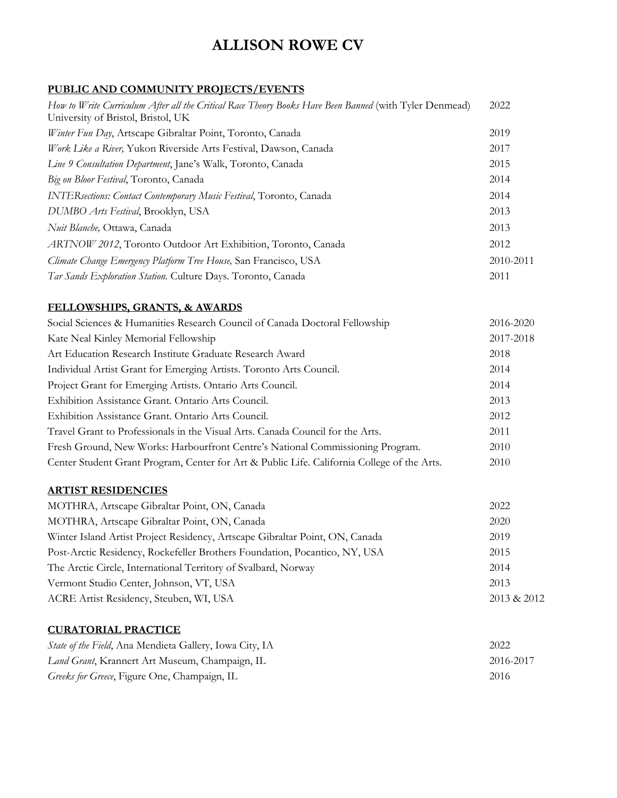# **PUBLIC AND COMMUNITY PROJECTS/EVENTS**

| How to Write Curriculum After all the Critical Race Theory Books Have Been Banned (with Tyler Denmead)<br>University of Bristol, Bristol, UK | 2022      |
|----------------------------------------------------------------------------------------------------------------------------------------------|-----------|
| Winter Fun Day, Artscape Gibraltar Point, Toronto, Canada                                                                                    | 2019      |
| Work Like a River, Yukon Riverside Arts Festival, Dawson, Canada                                                                             | 2017      |
| Line 9 Consultation Department, Jane's Walk, Toronto, Canada                                                                                 | 2015      |
| Big on Bloor Festival, Toronto, Canada                                                                                                       | 2014      |
| INTERsections: Contact Contemporary Music Festival, Toronto, Canada                                                                          | 2014      |
| DUMBO Arts Festival, Brooklyn, USA                                                                                                           | 2013      |
| <i>Nuit Blanche</i> , Ottawa, Canada                                                                                                         | 2013      |
| ARTNOW 2012, Toronto Outdoor Art Exhibition, Toronto, Canada                                                                                 | 2012      |
| Climate Change Emergency Platform Tree House, San Francisco, USA                                                                             | 2010-2011 |
| Tar Sands Exploration Station. Culture Days. Toronto, Canada                                                                                 | 2011      |

# **FELLOWSHIPS, GRANTS, & AWARDS**

| Social Sciences & Humanities Research Council of Canada Doctoral Fellowship                 | 2016-2020 |
|---------------------------------------------------------------------------------------------|-----------|
| Kate Neal Kinley Memorial Fellowship                                                        | 2017-2018 |
| Art Education Research Institute Graduate Research Award                                    | 2018      |
| Individual Artist Grant for Emerging Artists. Toronto Arts Council.                         | 2014      |
| Project Grant for Emerging Artists. Ontario Arts Council.                                   | 2014      |
| Exhibition Assistance Grant. Ontario Arts Council.                                          | 2013      |
| Exhibition Assistance Grant. Ontario Arts Council.                                          | 2012      |
| Travel Grant to Professionals in the Visual Arts. Canada Council for the Arts.              | 2011      |
| Fresh Ground, New Works: Harbourfront Centre's National Commissioning Program.              | 2010      |
| Center Student Grant Program, Center for Art & Public Life. California College of the Arts. | 2010      |

# **ARTIST RESIDENCIES**

| MOTHRA, Artscape Gibraltar Point, ON, Canada                                 | 2022        |
|------------------------------------------------------------------------------|-------------|
| MOTHRA, Artscape Gibraltar Point, ON, Canada                                 | 2020        |
| Winter Island Artist Project Residency, Artscape Gibraltar Point, ON, Canada | 2019        |
| Post-Arctic Residency, Rockefeller Brothers Foundation, Pocantico, NY, USA   | 2015        |
| The Arctic Circle, International Territory of Svalbard, Norway               | 2014        |
| Vermont Studio Center, Johnson, VT, USA                                      | 2013        |
| ACRE Artist Residency, Steuben, WI, USA                                      | 2013 & 2012 |
|                                                                              |             |

## **CURATORIAL PRACTICE**

| <i>State of the Field</i> , Ana Mendieta Gallery, Iowa City, IA | 2022      |
|-----------------------------------------------------------------|-----------|
| Land Grant, Krannert Art Museum, Champaign, IL                  | 2016-2017 |
| Greeks for Greece, Figure One, Champaign, IL                    | 2016      |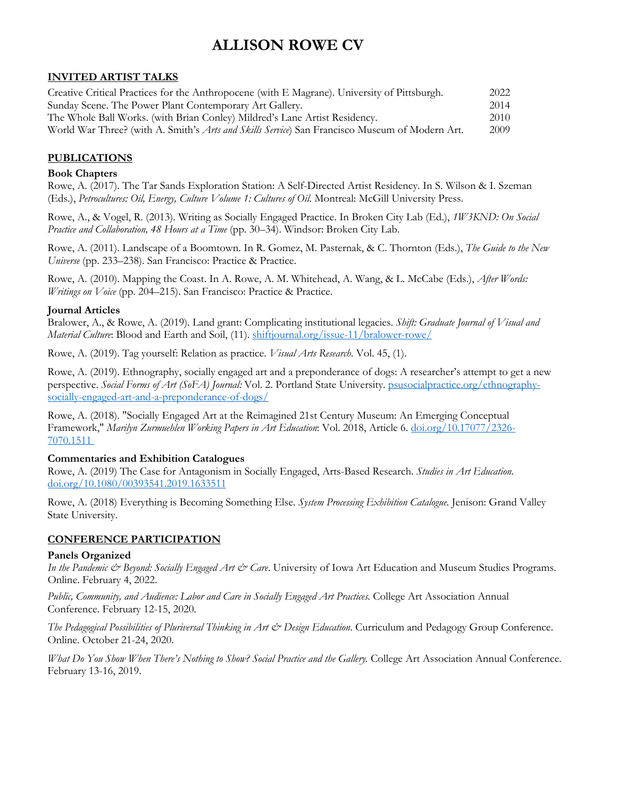# **INVITED ARTIST TALKS**

| Creative Critical Practices for the Anthropocene (with E Magrane). University of Pittsburgh.           | 2022 |
|--------------------------------------------------------------------------------------------------------|------|
| Sunday Scene. The Power Plant Contemporary Art Gallery.                                                | 2014 |
| The Whole Ball Works. (with Brian Conley) Mildred's Lane Artist Residency.                             | 2010 |
| World War Three? (with A. Smith's <i>Arts and Skills Service</i> ) San Francisco Museum of Modern Art. | 2009 |

## **PUBLICATIONS**

### **Book Chapters**

Rowe, A. (2017). The Tar Sands Exploration Station: A Self-Directed Artist Residency. In S. Wilson & I. Szeman (Eds.), *Petrocultures: Oil, Energy, Culture Volume 1: Cultures of Oil*. Montreal: McGill University Press.

Rowe, A., & Vogel, R. (2013). Writing as Socially Engaged Practice. In Broken City Lab (Ed.), *1W3KND: On Social Practice and Collaboration, 48 Hours at a Time* (pp. 30–34). Windsor: Broken City Lab.

Rowe, A. (2011). Landscape of a Boomtown. In R. Gomez, M. Pasternak, & C. Thornton (Eds.), *The Guide to the New Universe* (pp. 233–238). San Francisco: Practice & Practice.

Rowe, A. (2010). Mapping the Coast. In A. Rowe, A. M. Whitehead, A. Wang, & L. McCabe (Eds.), *After Words: Writings on Voice* (pp. 204–215). San Francisco: Practice & Practice.

#### **Journal Articles**

Bralower, A., & Rowe, A. (2019). Land grant: Complicating institutional legacies. *Shift: Graduate Journal of Visual and Material Culture*: Blood and Earth and Soil, (11). shiftjournal.org/issue-11/bralower-rowe/

Rowe, A. (2019). Tag yourself: Relation as practice. *Visual Arts Research*. Vol. 45, (1).

Rowe, A. (2019). Ethnography, socially engaged art and a preponderance of dogs: A researcher's attempt to get a new perspective. *Social Forms of Art (SoFA) Journal:* Vol. 2. Portland State University. psusocialpractice.org/ethnographysocially-engaged-art-and-a-preponderance-of-dogs/

Rowe, A. (2018). "Socially Engaged Art at the Reimagined 21st Century Museum: An Emerging Conceptual Framework," *Marilyn Zurmuehlen Working Papers in Art Education*: Vol. 2018, Article 6. doi.org/10.17077/2326- 7070.1511

## **Commentaries and Exhibition Catalogues**

Rowe, A. (2019) The Case for Antagonism in Socially Engaged, Arts-Based Research. *Studies in Art Education.* doi.org/10.1080/00393541.2019.1633511

Rowe, A. (2018) Everything is Becoming Something Else. *System Processing Exhibition Catalogue.* Jenison: Grand Valley State University.

## **CONFERENCE PARTICIPATION**

#### **Panels Organized**

*In the Pandemic & Beyond: Socially Engaged Art & Care*. University of Iowa Art Education and Museum Studies Programs. Online. February 4, 2022.

*Public, Community, and Audience: Labor and Care in Socially Engaged Art Practices.* College Art Association Annual Conference. February 12-15, 2020.

*The Pedagogical Possibilities of Pluriversal Thinking in Art & Design Education*. Curriculum and Pedagogy Group Conference. Online. October 21-24, 2020.

*What Do You Show When There's Nothing to Show? Social Practice and the Gallery.* College Art Association Annual Conference. February 13-16, 2019.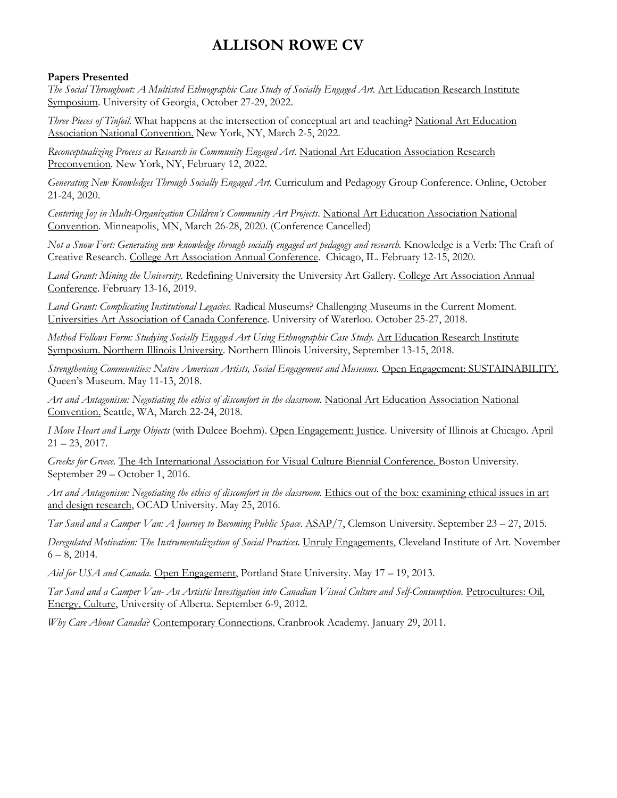## **Papers Presented**

*The Social Throughout: A Multisted Ethnographic Case Study of Socially Engaged Art.* Art Education Research Institute Symposium. University of Georgia, October 27-29, 2022.

*Three Pieces of Tinfoil.* What happens at the intersection of conceptual art and teaching? National Art Education Association National Convention. New York, NY, March 2-5, 2022.

*Reconceptualizing Process as Research in Community Engaged Art*. National Art Education Association Research Preconvention. New York, NY, February 12, 2022.

*Generating New Knowledges Through Socially Engaged Art*. Curriculum and Pedagogy Group Conference. Online, October 21-24, 2020.

*Centering Joy in Multi-Organization Children's Community Art Projects*. National Art Education Association National Convention. Minneapolis, MN, March 26-28, 2020. (Conference Cancelled)

*Not a Snow Fort: Generating new knowledge through socially engaged art pedagogy and research.* Knowledge is a Verb: The Craft of Creative Research. College Art Association Annual Conference. Chicago, IL. February 12-15, 2020.

*Land Grant: Mining the University.* Redefining University the University Art Gallery. College Art Association Annual Conference. February 13-16, 2019.

*Land Grant: Complicating Institutional Legacies.* Radical Museums? Challenging Museums in the Current Moment. Universities Art Association of Canada Conference. University of Waterloo. October 25-27, 2018.

*Method Follows Form: Studying Socially Engaged Art Using Ethnographic Case Study.* Art Education Research Institute Symposium. Northern Illinois University. Northern Illinois University, September 13-15, 2018.

*Strengthening Communities: Native American Artists, Social Engagement and Museums.* Open Engagement: SUSTAINABILITY. Queen's Museum. May 11-13, 2018.

*Art and Antagonism: Negotiating the ethics of discomfort in the classroom*. National Art Education Association National Convention. Seattle, WA, March 22-24, 2018.

*I Move Heart and Large Objects* (with Dulcee Boehm). Open Engagement: Justice. University of Illinois at Chicago. April  $21 - 23$ , 2017.

*Greeks for Greece.* The 4th International Association for Visual Culture Biennial Conference. Boston University. September 29 – October 1, 2016.

*Art and Antagonism: Negotiating the ethics of discomfort in the classroom*. Ethics out of the box: examining ethical issues in art and design research, OCAD University. May 25, 2016.

*Tar Sand and a Camper Van: A Journey to Becoming Public Space*. ASAP/7, Clemson University. September 23 – 27, 2015.

*Deregulated Motivation: The Instrumentalization of Social Practices*. Unruly Engagements, Cleveland Institute of Art. November  $6 - 8$ , 2014.

*Aid for USA and Canada.* Open Engagement, Portland State University. May 17 – 19, 2013.

*Tar Sand and a Camper Van- An Artistic Investigation into Canadian Visual Culture and Self-Consumption.* Petrocultures: Oil, Energy, Culture, University of Alberta. September 6-9, 2012.

*Why Care About Canada*? Contemporary Connections. Cranbrook Academy. January 29, 2011.